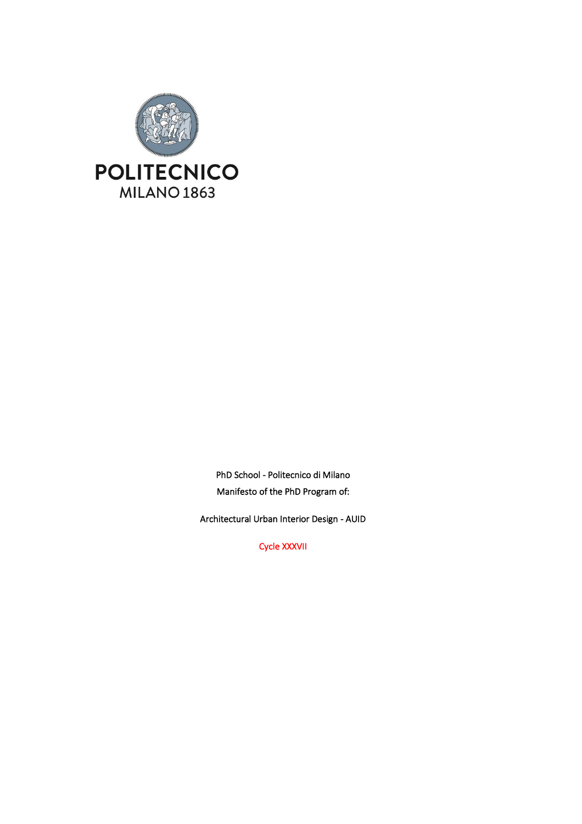

PhD School - Politecnico di Milano Manifesto of the PhD Program of:

Architectural Urban Interior Design - AUID

Cycle XXXVII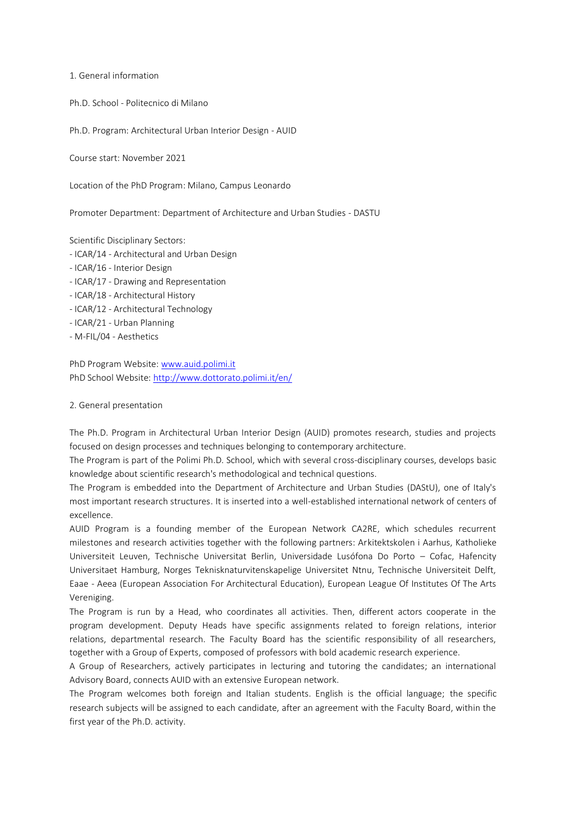1. General information

Ph.D. School - Politecnico di Milano

Ph.D. Program: Architectural Urban Interior Design - AUID

Course start: November 2021

Location of the PhD Program: Milano, Campus Leonardo

Promoter Department: Department of Architecture and Urban Studies - DASTU

Scientific Disciplinary Sectors:

- ICAR/14 Architectural and Urban Design
- ICAR/16 Interior Design
- ICAR/17 Drawing and Representation
- ICAR/18 Architectural History
- ICAR/12 Architectural Technology
- ICAR/21 Urban Planning
- M-FIL/04 Aesthetics

PhD Program Website[: www.auid.polimi.it](http://www.auid.polimi.it/) PhD School Website: <http://www.dottorato.polimi.it/en/>

### 2. General presentation

The Ph.D. Program in Architectural Urban Interior Design (AUID) promotes research, studies and projects focused on design processes and techniques belonging to contemporary architecture.

The Program is part of the Polimi Ph.D. School, which with several cross-disciplinary courses, develops basic knowledge about scientific research's methodological and technical questions.

The Program is embedded into the Department of Architecture and Urban Studies (DAStU), one of Italy's most important research structures. It is inserted into a well-established international network of centers of excellence.

AUID Program is a founding member of the European Network CA2RE, which schedules recurrent milestones and research activities together with the following partners: Arkitektskolen i Aarhus, Katholieke Universiteit Leuven, Technische Universitat Berlin, Universidade Lusófona Do Porto – Cofac, Hafencity Universitaet Hamburg, Norges Teknisknaturvitenskapelige Universitet Ntnu, Technische Universiteit Delft, Eaae - Aeea (European Association For Architectural Education), European League Of Institutes Of The Arts Vereniging.

The Program is run by a Head, who coordinates all activities. Then, different actors cooperate in the program development. Deputy Heads have specific assignments related to foreign relations, interior relations, departmental research. The Faculty Board has the scientific responsibility of all researchers, together with a Group of Experts, composed of professors with bold academic research experience.

A Group of Researchers, actively participates in lecturing and tutoring the candidates; an international Advisory Board, connects AUID with an extensive European network.

The Program welcomes both foreign and Italian students. English is the official language; the specific research subjects will be assigned to each candidate, after an agreement with the Faculty Board, within the first year of the Ph.D. activity.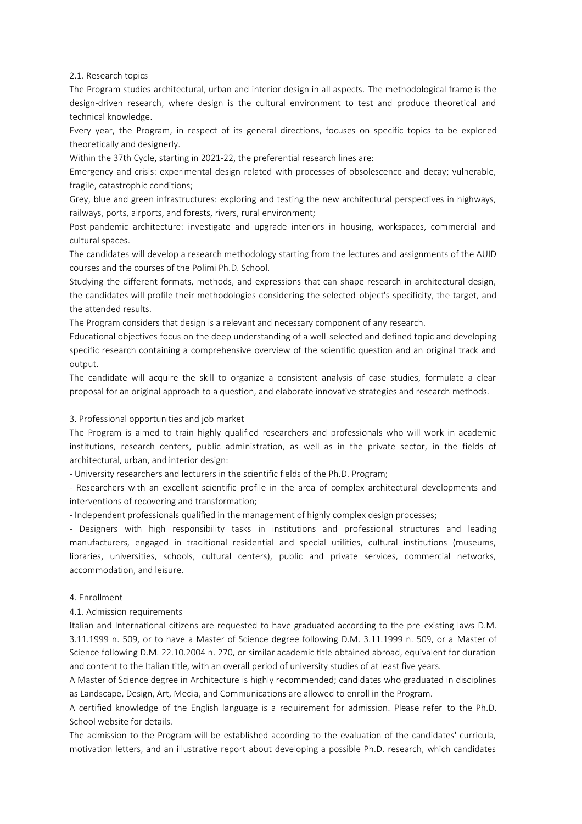2.1. Research topics

The Program studies architectural, urban and interior design in all aspects. The methodological frame is the design-driven research, where design is the cultural environment to test and produce theoretical and technical knowledge.

Every year, the Program, in respect of its general directions, focuses on specific topics to be explored theoretically and designerly.

Within the 37th Cycle, starting in 2021-22, the preferential research lines are:

Emergency and crisis: experimental design related with processes of obsolescence and decay; vulnerable, fragile, catastrophic conditions;

Grey, blue and green infrastructures: exploring and testing the new architectural perspectives in highways, railways, ports, airports, and forests, rivers, rural environment;

Post-pandemic architecture: investigate and upgrade interiors in housing, workspaces, commercial and cultural spaces.

The candidates will develop a research methodology starting from the lectures and assignments of the AUID courses and the courses of the Polimi Ph.D. School.

Studying the different formats, methods, and expressions that can shape research in architectural design, the candidates will profile their methodologies considering the selected object's specificity, the target, and the attended results.

The Program considers that design is a relevant and necessary component of any research.

Educational objectives focus on the deep understanding of a well-selected and defined topic and developing specific research containing a comprehensive overview of the scientific question and an original track and output.

The candidate will acquire the skill to organize a consistent analysis of case studies, formulate a clear proposal for an original approach to a question, and elaborate innovative strategies and research methods.

#### 3. Professional opportunities and job market

The Program is aimed to train highly qualified researchers and professionals who will work in academic institutions, research centers, public administration, as well as in the private sector, in the fields of architectural, urban, and interior design:

- University researchers and lecturers in the scientific fields of the Ph.D. Program;

- Researchers with an excellent scientific profile in the area of complex architectural developments and interventions of recovering and transformation;

- Independent professionals qualified in the management of highly complex design processes;

- Designers with high responsibility tasks in institutions and professional structures and leading manufacturers, engaged in traditional residential and special utilities, cultural institutions (museums, libraries, universities, schools, cultural centers), public and private services, commercial networks, accommodation, and leisure.

### 4. Enrollment

### 4.1. Admission requirements

Italian and International citizens are requested to have graduated according to the pre-existing laws D.M. 3.11.1999 n. 509, or to have a Master of Science degree following D.M. 3.11.1999 n. 509, or a Master of Science following D.M. 22.10.2004 n. 270, or similar academic title obtained abroad, equivalent for duration and content to the Italian title, with an overall period of university studies of at least five years.

A Master of Science degree in Architecture is highly recommended; candidates who graduated in disciplines as Landscape, Design, Art, Media, and Communications are allowed to enroll in the Program.

A certified knowledge of the English language is a requirement for admission. Please refer to the Ph.D. School website for details.

The admission to the Program will be established according to the evaluation of the candidates' curricula, motivation letters, and an illustrative report about developing a possible Ph.D. research, which candidates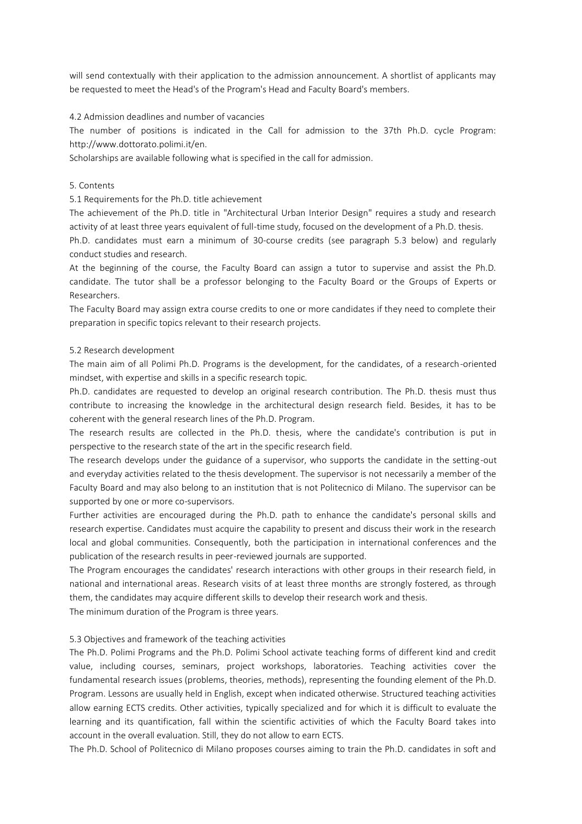will send contextually with their application to the admission announcement. A shortlist of applicants may be requested to meet the Head's of the Program's Head and Faculty Board's members.

### 4.2 Admission deadlines and number of vacancies

The number of positions is indicated in the Call for admission to the 37th Ph.D. cycle Program: http://www.dottorato.polimi.it/en.

Scholarships are available following what is specified in the call for admission.

### 5. Contents

5.1 Requirements for the Ph.D. title achievement

The achievement of the Ph.D. title in "Architectural Urban Interior Design" requires a study and research activity of at least three years equivalent of full-time study, focused on the development of a Ph.D. thesis.

Ph.D. candidates must earn a minimum of 30-course credits (see paragraph 5.3 below) and regularly conduct studies and research.

At the beginning of the course, the Faculty Board can assign a tutor to supervise and assist the Ph.D. candidate. The tutor shall be a professor belonging to the Faculty Board or the Groups of Experts or Researchers.

The Faculty Board may assign extra course credits to one or more candidates if they need to complete their preparation in specific topics relevant to their research projects.

### 5.2 Research development

The main aim of all Polimi Ph.D. Programs is the development, for the candidates, of a research-oriented mindset, with expertise and skills in a specific research topic.

Ph.D. candidates are requested to develop an original research contribution. The Ph.D. thesis must thus contribute to increasing the knowledge in the architectural design research field. Besides, it has to be coherent with the general research lines of the Ph.D. Program.

The research results are collected in the Ph.D. thesis, where the candidate's contribution is put in perspective to the research state of the art in the specific research field.

The research develops under the guidance of a supervisor, who supports the candidate in the setting-out and everyday activities related to the thesis development. The supervisor is not necessarily a member of the Faculty Board and may also belong to an institution that is not Politecnico di Milano. The supervisor can be supported by one or more co-supervisors.

Further activities are encouraged during the Ph.D. path to enhance the candidate's personal skills and research expertise. Candidates must acquire the capability to present and discuss their work in the research local and global communities. Consequently, both the participation in international conferences and the publication of the research results in peer-reviewed journals are supported.

The Program encourages the candidates' research interactions with other groups in their research field, in national and international areas. Research visits of at least three months are strongly fostered, as through them, the candidates may acquire different skills to develop their research work and thesis.

The minimum duration of the Program is three years.

### 5.3 Objectives and framework of the teaching activities

The Ph.D. Polimi Programs and the Ph.D. Polimi School activate teaching forms of different kind and credit value, including courses, seminars, project workshops, laboratories. Teaching activities cover the fundamental research issues (problems, theories, methods), representing the founding element of the Ph.D. Program. Lessons are usually held in English, except when indicated otherwise. Structured teaching activities allow earning ECTS credits. Other activities, typically specialized and for which it is difficult to evaluate the learning and its quantification, fall within the scientific activities of which the Faculty Board takes into account in the overall evaluation. Still, they do not allow to earn ECTS.

The Ph.D. School of Politecnico di Milano proposes courses aiming to train the Ph.D. candidates in soft and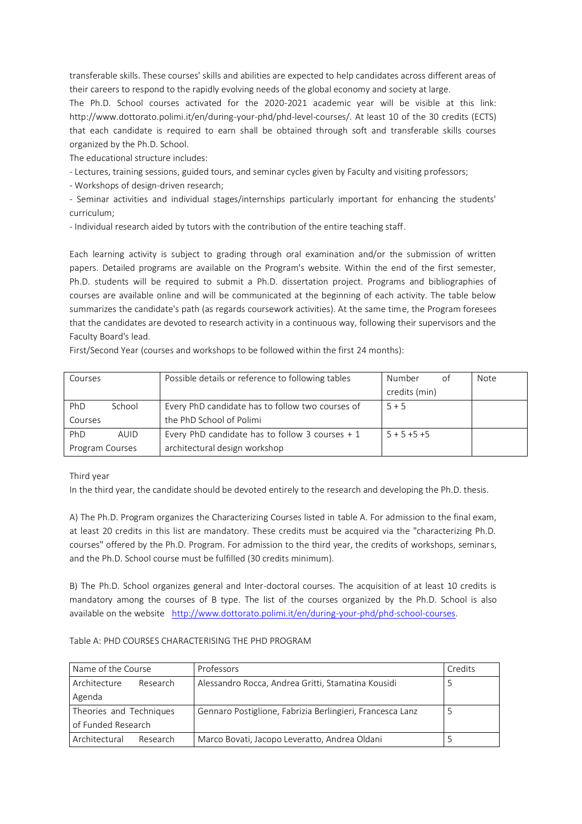transferable skills. These courses' skills and abilities are expected to help candidates across different areas of their careers to respond to the rapidly evolving needs of the global economy and society at large.

The Ph.D. School courses activated for the 2020-2021 academic year will be visible at this link: http://www.dottorato.polimi.it/en/during-your-phd/phd-level-courses/. At least 10 of the 30 credits (ECTS) that each candidate is required to earn shall be obtained through soft and transferable skills courses organized by the Ph.D. School.

The educational structure includes:

- Lectures, training sessions, guided tours, and seminar cycles given by Faculty and visiting professors;

- Workshops of design-driven research;

- Seminar activities and individual stages/internships particularly important for enhancing the students' curriculum;

- Individual research aided by tutors with the contribution of the entire teaching staff.

Each learning activity is subject to grading through oral examination and/or the submission of written papers. Detailed programs are available on the Program's website. Within the end of the first semester, Ph.D. students will be required to submit a Ph.D. dissertation project. Programs and bibliographies of courses are available online and will be communicated at the beginning of each activity. The table below summarizes the candidate's path (as regards coursework activities). At the same time, the Program foresees that the candidates are devoted to research activity in a continuous way, following their supervisors and the Faculty Board's lead.

First/Second Year (courses and workshops to be followed within the first 24 months):

| Courses         |        | Possible details or reference to following tables                            | Number<br>of<br>credits (min) | <b>Note</b> |
|-----------------|--------|------------------------------------------------------------------------------|-------------------------------|-------------|
| PhD<br>Courses  | School | Every PhD candidate has to follow two courses of<br>the PhD School of Polimi | $5 + 5$                       |             |
| PhD             | AUID   | Every PhD candidate has to follow 3 courses $+1$                             | $5 + 5 + 5 + 5$               |             |
| Program Courses |        | architectural design workshop                                                |                               |             |

Third year

In the third year, the candidate should be devoted entirely to the research and developing the Ph.D. thesis.

A) The Ph.D. Program organizes the Characterizing Courses listed in table A. For admission to the final exam, at least 20 credits in this list are mandatory. These credits must be acquired via the "characterizing Ph.D. courses" offered by the Ph.D. Program. For admission to the third year, the credits of workshops, seminars, and the Ph.D. School course must be fulfilled (30 credits minimum).

B) The Ph.D. School organizes general and Inter-doctoral courses. The acquisition of at least 10 credits is mandatory among the courses of B type. The list of the courses organized by the Ph.D. School is also available on the website [http://www.dottorato.polimi.it/en/during-your-phd/phd-school-courses.](http://www.dottorato.polimi.it/en/during-your-phd/phd-school-courses)

### Table A: PHD COURSES CHARACTERISING THE PHD PROGRAM

| Name of the Course               | Professors                                                | Credits |
|----------------------------------|-----------------------------------------------------------|---------|
| Architecture<br>Research         | Alessandro Rocca, Andrea Gritti, Stamatina Kousidi        |         |
| Agenda                           |                                                           |         |
| Theories and Techniques          | Gennaro Postiglione, Fabrizia Berlingieri, Francesca Lanz |         |
| of Funded Research               |                                                           |         |
| Architectural<br><b>Research</b> | Marco Bovati, Jacopo Leveratto, Andrea Oldani             |         |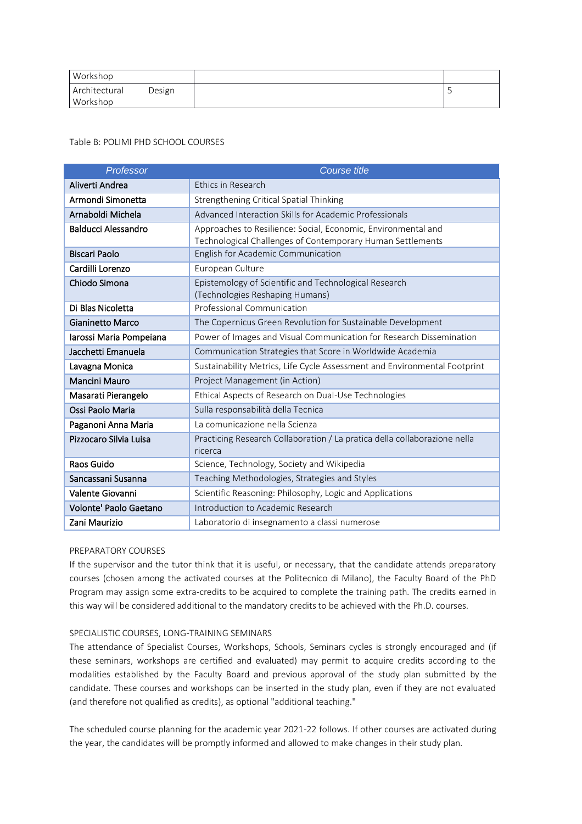| Workshop                  |        |  |
|---------------------------|--------|--|
| Architectural<br>Workshop | Design |  |

Table B: POLIMI PHD SCHOOL COURSES

| Professor                  | <b>Course title</b>                                                                                                         |
|----------------------------|-----------------------------------------------------------------------------------------------------------------------------|
| Aliverti Andrea            | Ethics in Research                                                                                                          |
| Armondi Simonetta          | Strengthening Critical Spatial Thinking                                                                                     |
| Arnaboldi Michela          | Advanced Interaction Skills for Academic Professionals                                                                      |
| <b>Balducci Alessandro</b> | Approaches to Resilience: Social, Economic, Environmental and<br>Technological Challenges of Contemporary Human Settlements |
| <b>Biscari Paolo</b>       | English for Academic Communication                                                                                          |
| Cardilli Lorenzo           | European Culture                                                                                                            |
| Chiodo Simona              | Epistemology of Scientific and Technological Research<br>(Technologies Reshaping Humans)                                    |
| Di Blas Nicoletta          | Professional Communication                                                                                                  |
| <b>Gianinetto Marco</b>    | The Copernicus Green Revolution for Sustainable Development                                                                 |
| Iarossi Maria Pompeiana    | Power of Images and Visual Communication for Research Dissemination                                                         |
| Jacchetti Emanuela         | Communication Strategies that Score in Worldwide Academia                                                                   |
| Lavagna Monica             | Sustainability Metrics, Life Cycle Assessment and Environmental Footprint                                                   |
| <b>Mancini Mauro</b>       | Project Management (in Action)                                                                                              |
| Masarati Pierangelo        | Ethical Aspects of Research on Dual-Use Technologies                                                                        |
| Ossi Paolo Maria           | Sulla responsabilità della Tecnica                                                                                          |
| Paganoni Anna Maria        | La comunicazione nella Scienza                                                                                              |
| Pizzocaro Silvia Luisa     | Practicing Research Collaboration / La pratica della collaborazione nella<br>ricerca                                        |
| Raos Guido                 | Science, Technology, Society and Wikipedia                                                                                  |
| Sancassani Susanna         | Teaching Methodologies, Strategies and Styles                                                                               |
| Valente Giovanni           | Scientific Reasoning: Philosophy, Logic and Applications                                                                    |
| Volonte' Paolo Gaetano     | Introduction to Academic Research                                                                                           |
| Zani Maurizio              | Laboratorio di insegnamento a classi numerose                                                                               |

# PREPARATORY COURSES

If the supervisor and the tutor think that it is useful, or necessary, that the candidate attends preparatory courses (chosen among the activated courses at the Politecnico di Milano), the Faculty Board of the PhD Program may assign some extra-credits to be acquired to complete the training path. The credits earned in this way will be considered additional to the mandatory credits to be achieved with the Ph.D. courses.

# SPECIALISTIC COURSES, LONG-TRAINING SEMINARS

The attendance of Specialist Courses, Workshops, Schools, Seminars cycles is strongly encouraged and (if these seminars, workshops are certified and evaluated) may permit to acquire credits according to the modalities established by the Faculty Board and previous approval of the study plan submitted by the candidate. These courses and workshops can be inserted in the study plan, even if they are not evaluated (and therefore not qualified as credits), as optional "additional teaching."

The scheduled course planning for the academic year 2021-22 follows. If other courses are activated during the year, the candidates will be promptly informed and allowed to make changes in their study plan.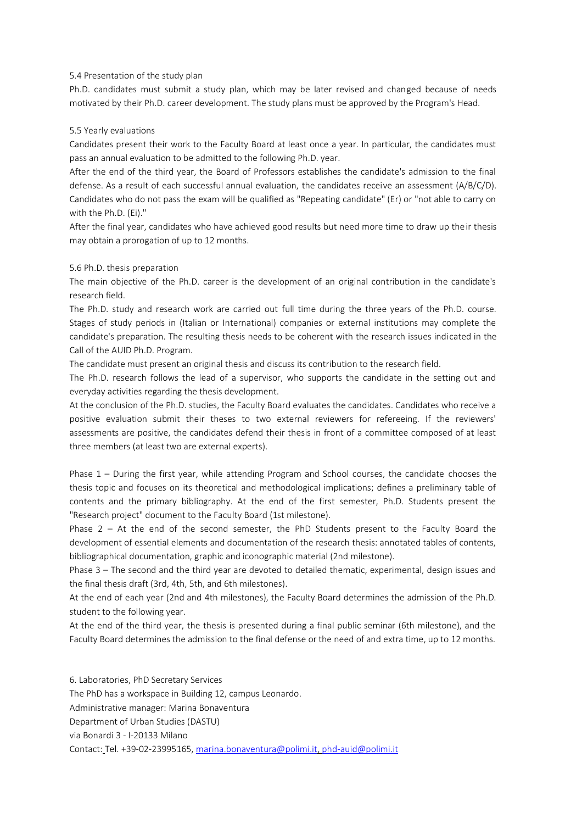### 5.4 Presentation of the study plan

Ph.D. candidates must submit a study plan, which may be later revised and changed because of needs motivated by their Ph.D. career development. The study plans must be approved by the Program's Head.

### 5.5 Yearly evaluations

Candidates present their work to the Faculty Board at least once a year. In particular, the candidates must pass an annual evaluation to be admitted to the following Ph.D. year.

After the end of the third year, the Board of Professors establishes the candidate's admission to the final defense. As a result of each successful annual evaluation, the candidates receive an assessment (A/B/C/D). Candidates who do not pass the exam will be qualified as "Repeating candidate" (Er) or "not able to carry on with the Ph.D. (Ei)."

After the final year, candidates who have achieved good results but need more time to draw up their thesis may obtain a prorogation of up to 12 months.

### 5.6 Ph.D. thesis preparation

The main objective of the Ph.D. career is the development of an original contribution in the candidate's research field.

The Ph.D. study and research work are carried out full time during the three years of the Ph.D. course. Stages of study periods in (Italian or International) companies or external institutions may complete the candidate's preparation. The resulting thesis needs to be coherent with the research issues indicated in the Call of the AUID Ph.D. Program.

The candidate must present an original thesis and discuss its contribution to the research field.

The Ph.D. research follows the lead of a supervisor, who supports the candidate in the setting out and everyday activities regarding the thesis development.

At the conclusion of the Ph.D. studies, the Faculty Board evaluates the candidates. Candidates who receive a positive evaluation submit their theses to two external reviewers for refereeing. If the reviewers' assessments are positive, the candidates defend their thesis in front of a committee composed of at least three members (at least two are external experts).

Phase 1 – During the first year, while attending Program and School courses, the candidate chooses the thesis topic and focuses on its theoretical and methodological implications; defines a preliminary table of contents and the primary bibliography. At the end of the first semester, Ph.D. Students present the "Research project" document to the Faculty Board (1st milestone).

Phase 2 – At the end of the second semester, the PhD Students present to the Faculty Board the development of essential elements and documentation of the research thesis: annotated tables of contents, bibliographical documentation, graphic and iconographic material (2nd milestone).

Phase 3 – The second and the third year are devoted to detailed thematic, experimental, design issues and the final thesis draft (3rd, 4th, 5th, and 6th milestones).

At the end of each year (2nd and 4th milestones), the Faculty Board determines the admission of the Ph.D. student to the following year.

At the end of the third year, the thesis is presented during a final public seminar (6th milestone), and the Faculty Board determines the admission to the final defense or the need of and extra time, up to 12 months.

6. Laboratories, PhD Secretary Services The PhD has a workspace in Building 12, campus Leonardo. Administrative manager: Marina Bonaventura Department of Urban Studies (DASTU) via Bonardi 3 - I-20133 Milano Contact: Tel. +39-02-23995165[, marina.bonaventura@polimi.it,](mailto:marina.bonaventura@polimi.it) [phd-auid@polimi.it](mailto:phd-auid@polimi.it)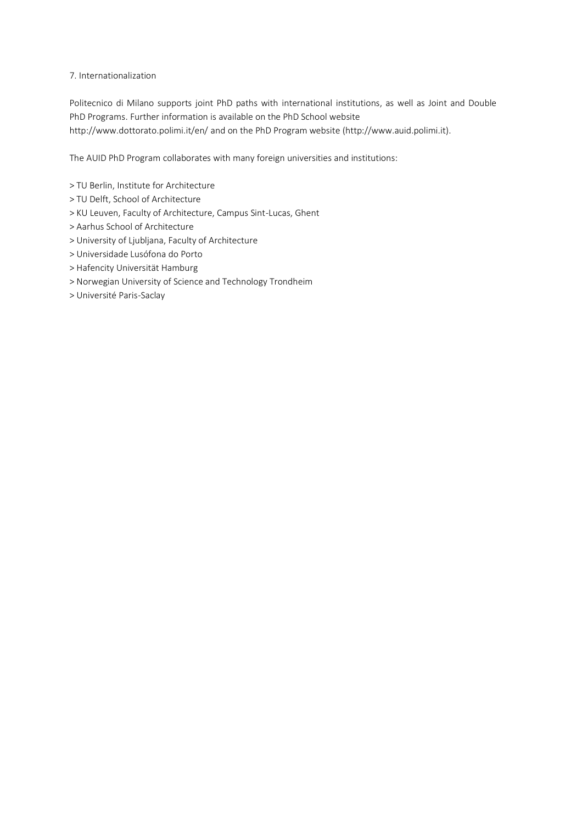## 7. Internationalization

Politecnico di Milano supports joint PhD paths with international institutions, as well as Joint and Double PhD Programs. Further information is available on the PhD School website http://www.dottorato.polimi.it/en/ and on the PhD Program website (http://www.auid.polimi.it).

The AUID PhD Program collaborates with many foreign universities and institutions:

- > TU Berlin, Institute for Architecture
- > TU Delft, School of Architecture
- > KU Leuven, Faculty of Architecture, Campus Sint-Lucas, Ghent
- > Aarhus School of Architecture
- > University of Ljubljana, Faculty of Architecture
- > Universidade Lusófona do Porto
- > Hafencity Universität Hamburg
- > Norwegian University of Science and Technology Trondheim
- > Université Paris-Saclay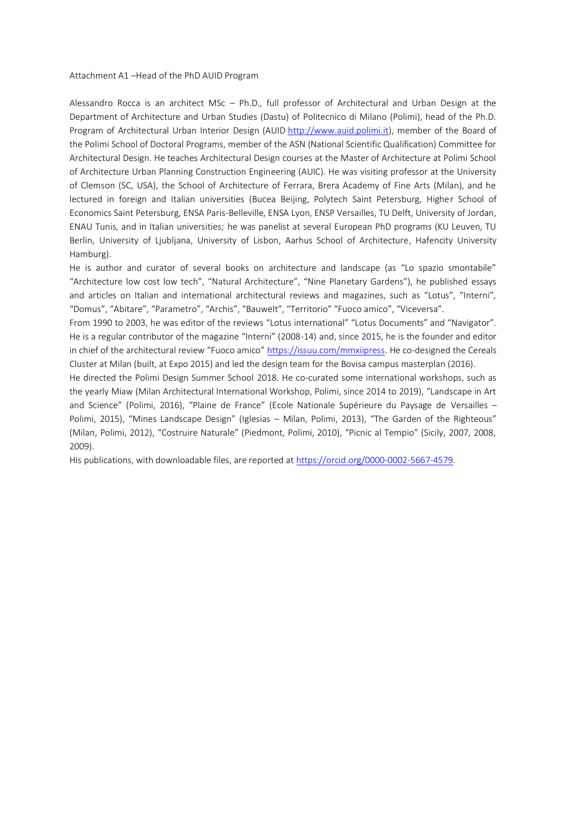Attachment A1 –Head of the PhD AUID Program

Alessandro Rocca is an architect MSc – Ph.D., full professor of Architectural and Urban Design at the Department of Architecture and Urban Studies (Dastu) of Politecnico di Milano (Polimi), head of the Ph.D. Program of Architectural Urban Interior Design (AUID [http://www.auid.polimi.it\)](http://www.auid.polimi.it/), member of the Board of the Polimi School of Doctoral Programs, member of the ASN (National Scientific Qualification) Committee for Architectural Design. He teaches Architectural Design courses at the Master of Architecture at Polimi School of Architecture Urban Planning Construction Engineering (AUIC). He was visiting professor at the University of Clemson (SC, USA), the School of Architecture of Ferrara, Brera Academy of Fine Arts (Milan), and he lectured in foreign and Italian universities (Bucea Beijing, Polytech Saint Petersburg, Higher School of Economics Saint Petersburg, ENSA Paris-Belleville, ENSA Lyon, ENSP Versailles, TU Delft, University of Jordan, ENAU Tunis, and in Italian universities; he was panelist at several European PhD programs (KU Leuven, TU Berlin, University of Ljubljana, University of Lisbon, Aarhus School of Architecture, Hafencity University Hamburg).

He is author and curator of several books on architecture and landscape (as "Lo spazio smontabile" "Architecture low cost low tech", "Natural Architecture", "Nine Planetary Gardens"), he published essays and articles on Italian and international architectural reviews and magazines, such as "Lotus", "Interni", "Domus", "Abitare", "Parametro", "Archis", "Bauwelt", "Territorio" "Fuoco amico", "Viceversa".

From 1990 to 2003, he was editor of the reviews "Lotus international" "Lotus Documents" and "Navigator". He is a regular contributor of the magazine "Interni" (2008-14) and, since 2015, he is the founder and editor in chief of the architectural review "Fuoco amico" [https://issuu.com/mmxiipress.](https://issuu.com/mmxiipress) He co-designed the Cereals Cluster at Milan (built, at Expo 2015) and led the design team for the Bovisa campus masterplan (2016).

He directed the Polimi Design Summer School 2018. He co-curated some international workshops, such as the yearly Miaw (Milan Architectural International Workshop, Polimi, since 2014 to 2019), "Landscape in Art and Science" (Polimi, 2016), "Plaine de France" (Ecole Nationale Supérieure du Paysage de Versailles – Polimi, 2015), "Mines Landscape Design" (Iglesias – Milan, Polimi, 2013), "The Garden of the Righteous" (Milan, Polimi, 2012), "Costruire Naturale" (Piedmont, Polimi, 2010), "Picnic al Tempio" (Sicily, 2007, 2008, 2009).

His publications, with downloadable files, are reported at [https://orcid.org/0000-0002-5667-4579.](https://orcid.org/0000-0002-5667-4579)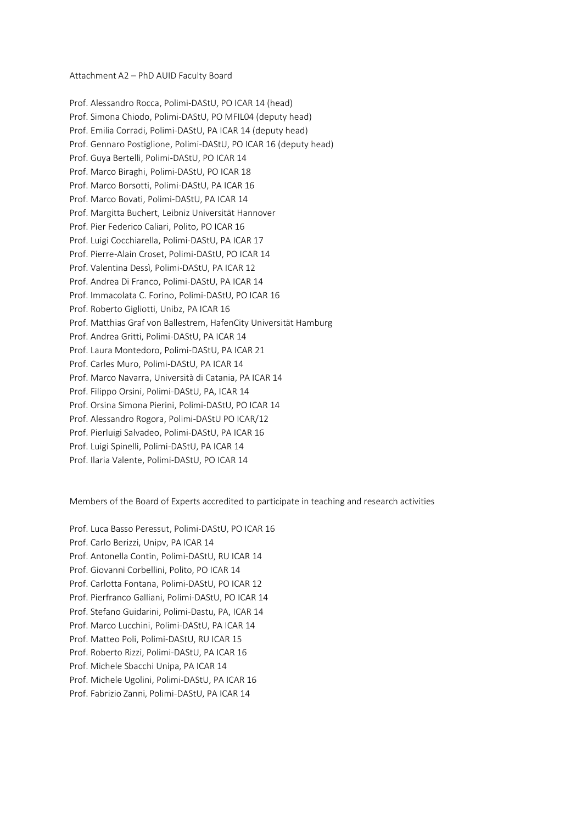Attachment A2 – PhD AUID Faculty Board

Prof. Alessandro Rocca, Polimi-DAStU, PO ICAR 14 (head) Prof. Simona Chiodo, Polimi-DAStU, PO MFIL04 (deputy head) Prof. Emilia Corradi, Polimi-DAStU, PA ICAR 14 (deputy head) Prof. Gennaro Postiglione, Polimi-DAStU, PO ICAR 16 (deputy head) Prof. Guya Bertelli, Polimi-DAStU, PO ICAR 14 Prof. Marco Biraghi, Polimi-DAStU, PO ICAR 18 Prof. Marco Borsotti, Polimi-DAStU, PA ICAR 16 Prof. Marco Bovati, Polimi-DAStU, PA ICAR 14 Prof. Margitta Buchert, Leibniz Universität Hannover Prof. Pier Federico Caliari, Polito, PO ICAR 16 Prof. Luigi Cocchiarella, Polimi-DAStU, PA ICAR 17 Prof. Pierre-Alain Croset, Polimi-DAStU, PO ICAR 14 Prof. Valentina Dessì, Polimi-DAStU, PA ICAR 12 Prof. Andrea Di Franco, Polimi-DAStU, PA ICAR 14 Prof. Immacolata C. Forino, Polimi-DAStU, PO ICAR 16 Prof. Roberto Gigliotti, Unibz, PA ICAR 16 Prof. Matthias Graf von Ballestrem, HafenCity Universität Hamburg Prof. Andrea Gritti, Polimi-DAStU, PA ICAR 14 Prof. Laura Montedoro, Polimi-DAStU, PA ICAR 21 Prof. Carles Muro, Polimi-DAStU, PA ICAR 14 Prof. Marco Navarra, Università di Catania, PA ICAR 14 Prof. Filippo Orsini, Polimi-DAStU, PA, ICAR 14 Prof. Orsina Simona Pierini, Polimi-DAStU, PO ICAR 14 Prof. Alessandro Rogora, Polimi-DAStU PO ICAR/12 Prof. Pierluigi Salvadeo, Polimi-DAStU, PA ICAR 16 Prof. Luigi Spinelli, Polimi-DAStU, PA ICAR 14 Prof. Ilaria Valente, Polimi-DAStU, PO ICAR 14

Members of the Board of Experts accredited to participate in teaching and research activities

Prof. Luca Basso Peressut, Polimi-DAStU, PO ICAR 16 Prof. Carlo Berizzi, Unipv, PA ICAR 14 Prof. Antonella Contin, Polimi-DAStU, RU ICAR 14 Prof. Giovanni Corbellini, Polito, PO ICAR 14 Prof. Carlotta Fontana, Polimi-DAStU, PO ICAR 12 Prof. Pierfranco Galliani, Polimi-DAStU, PO ICAR 14 Prof. Stefano Guidarini, Polimi-Dastu, PA, ICAR 14 Prof. Marco Lucchini, Polimi-DAStU, PA ICAR 14 Prof. Matteo Poli, Polimi-DAStU, RU ICAR 15 Prof. Roberto Rizzi, Polimi-DAStU, PA ICAR 16 Prof. Michele Sbacchi Unipa, PA ICAR 14 Prof. Michele Ugolini, Polimi-DAStU, PA ICAR 16 Prof. Fabrizio Zanni, Polimi-DAStU, PA ICAR 14